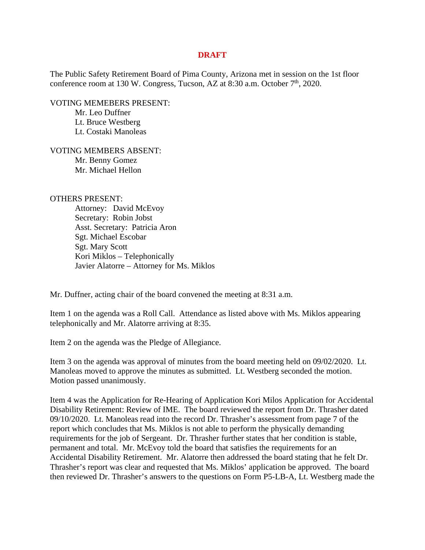## **DRAFT**

The Public Safety Retirement Board of Pima County, Arizona met in session on the 1st floor conference room at 130 W. Congress, Tucson, AZ at 8:30 a.m. October 7<sup>th</sup>, 2020.

VOTING MEMEBERS PRESENT:

Mr. Leo Duffner Lt. Bruce Westberg Lt. Costaki Manoleas

VOTING MEMBERS ABSENT: Mr. Benny Gomez Mr. Michael Hellon

## OTHERS PRESENT:

Attorney: David McEvoy Secretary: Robin Jobst Asst. Secretary: Patricia Aron Sgt. Michael Escobar Sgt. Mary Scott Kori Miklos – Telephonically Javier Alatorre – Attorney for Ms. Miklos

Mr. Duffner, acting chair of the board convened the meeting at 8:31 a.m.

Item 1 on the agenda was a Roll Call. Attendance as listed above with Ms. Miklos appearing telephonically and Mr. Alatorre arriving at 8:35.

Item 2 on the agenda was the Pledge of Allegiance.

Item 3 on the agenda was approval of minutes from the board meeting held on 09/02/2020. Lt. Manoleas moved to approve the minutes as submitted. Lt. Westberg seconded the motion. Motion passed unanimously.

Item 4 was the Application for Re-Hearing of Application Kori Milos Application for Accidental Disability Retirement: Review of IME. The board reviewed the report from Dr. Thrasher dated 09/10/2020. Lt. Manoleas read into the record Dr. Thrasher's assessment from page 7 of the report which concludes that Ms. Miklos is not able to perform the physically demanding requirements for the job of Sergeant. Dr. Thrasher further states that her condition is stable, permanent and total. Mr. McEvoy told the board that satisfies the requirements for an Accidental Disability Retirement. Mr. Alatorre then addressed the board stating that he felt Dr. Thrasher's report was clear and requested that Ms. Miklos' application be approved. The board then reviewed Dr. Thrasher's answers to the questions on Form P5-LB-A, Lt. Westberg made the